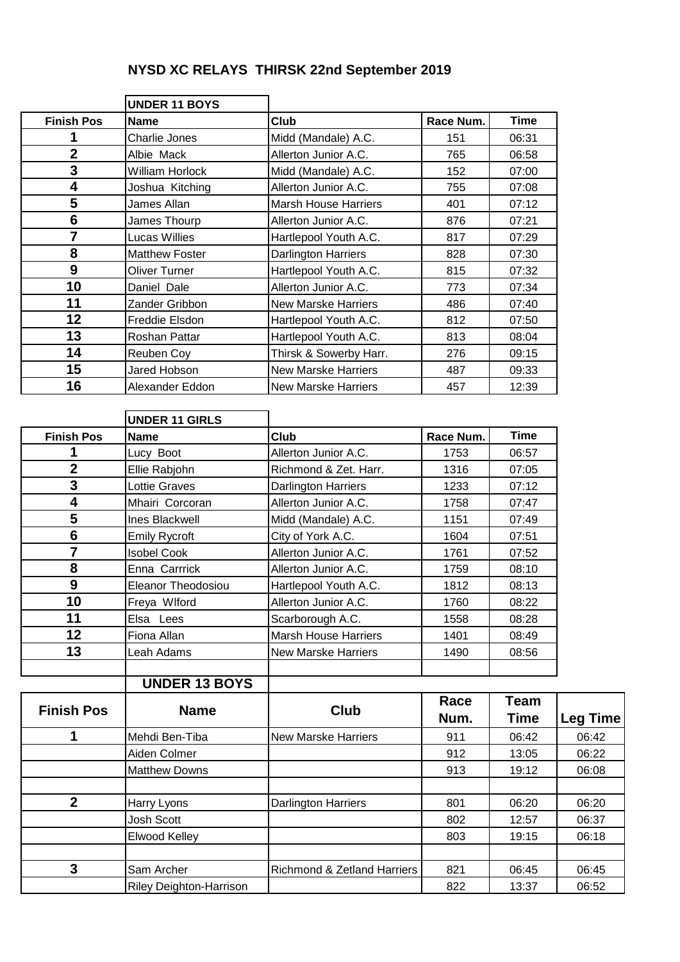## **NYSD XC RELAYS THIRSK 22nd September 2019**

|                   | <b>UNDER 11 BOYS</b>   |                             |           |             |
|-------------------|------------------------|-----------------------------|-----------|-------------|
| <b>Finish Pos</b> | <b>Name</b>            | <b>Club</b>                 | Race Num. | <b>Time</b> |
|                   | Charlie Jones          | Midd (Mandale) A.C.         | 151       | 06:31       |
| $\mathbf{2}$      | Albie Mack             | Allerton Junior A.C.        | 765       | 06:58       |
| 3                 | <b>William Horlock</b> | Midd (Mandale) A.C.         | 152       | 07:00       |
| 4                 | Joshua Kitching        | Allerton Junior A.C.        | 755       | 07:08       |
| 5                 | James Allan            | <b>Marsh House Harriers</b> | 401       | 07:12       |
| $6\phantom{1}$    | James Thourp           | Allerton Junior A.C.        | 876       | 07:21       |
| 7                 | Lucas Willies          | Hartlepool Youth A.C.       | 817       | 07:29       |
| 8                 | <b>Matthew Foster</b>  | <b>Darlington Harriers</b>  | 828       | 07:30       |
| 9                 | <b>Oliver Turner</b>   | Hartlepool Youth A.C.       | 815       | 07:32       |
| 10                | Daniel Dale            | Allerton Junior A.C.        | 773       | 07:34       |
| 11                | Zander Gribbon         | New Marske Harriers         | 486       | 07:40       |
| 12                | Freddie Elsdon         | Hartlepool Youth A.C.       | 812       | 07:50       |
| 13                | Roshan Pattar          | Hartlepool Youth A.C.       | 813       | 08:04       |
| 14                | Reuben Coy             | Thirsk & Sowerby Harr.      | 276       | 09:15       |
| 15                | Jared Hobson           | <b>New Marske Harriers</b>  | 487       | 09:33       |
| 16                | Alexander Eddon        | New Marske Harriers         | 457       | 12:39       |

|                         | <b>UNDER 11 GIRLS</b>          |                                        |           |             |                 |
|-------------------------|--------------------------------|----------------------------------------|-----------|-------------|-----------------|
| <b>Finish Pos</b>       | <b>Name</b>                    | Club                                   | Race Num. | <b>Time</b> |                 |
| 1                       | Lucy Boot                      | Allerton Junior A.C.                   | 1753      | 06:57       |                 |
| $\overline{\mathbf{2}}$ | Ellie Rabjohn                  | Richmond & Zet. Harr.                  | 1316      | 07:05       |                 |
| 3                       | <b>Lottie Graves</b>           | <b>Darlington Harriers</b>             | 1233      | 07:12       |                 |
| $\overline{\mathbf{4}}$ | Mhairi Corcoran                | Allerton Junior A.C.                   | 1758      | 07:47       |                 |
| 5                       | <b>Ines Blackwell</b>          | Midd (Mandale) A.C.                    | 1151      | 07:49       |                 |
| $6\phantom{1}6$         | <b>Emily Rycroft</b>           | City of York A.C.                      | 1604      | 07:51       |                 |
| $\overline{7}$          | <b>Isobel Cook</b>             | Allerton Junior A.C.                   | 1761      | 07:52       |                 |
| 8                       | Enna Carrrick                  | Allerton Junior A.C.                   | 1759      | 08:10       |                 |
| $\overline{9}$          | <b>Eleanor Theodosiou</b>      | Hartlepool Youth A.C.                  | 1812      | 08:13       |                 |
| 10                      | Freya Wlford                   | Allerton Junior A.C.                   | 1760      | 08:22       |                 |
| 11                      | Elsa Lees                      | Scarborough A.C.                       | 1558      | 08:28       |                 |
| 12                      | Fiona Allan                    | <b>Marsh House Harriers</b>            | 1401      | 08:49       |                 |
| 13                      | Leah Adams                     | <b>New Marske Harriers</b>             | 1490      | 08:56       |                 |
|                         |                                |                                        |           |             |                 |
|                         | <b>UNDER 13 BOYS</b>           |                                        |           |             |                 |
| <b>Finish Pos</b>       | <b>Name</b>                    | <b>Club</b>                            | Race      | <b>Team</b> |                 |
|                         |                                |                                        | Num.      | <b>Time</b> | <b>Leg Time</b> |
| 1                       | Mehdi Ben-Tiba                 | <b>New Marske Harriers</b>             | 911       | 06:42       | 06:42           |
|                         | Aiden Colmer                   |                                        | 912       | 13:05       | 06:22           |
|                         | <b>Matthew Downs</b>           |                                        | 913       | 19:12       | 06:08           |
|                         |                                |                                        |           |             |                 |
| $\overline{2}$          | Harry Lyons                    | <b>Darlington Harriers</b>             | 801       | 06:20       | 06:20           |
|                         | <b>Josh Scott</b>              |                                        | 802       | 12:57       | 06:37           |
|                         | <b>Elwood Kelley</b>           |                                        | 803       | 19:15       | 06:18           |
|                         |                                |                                        |           |             |                 |
| 3                       | Sam Archer                     | <b>Richmond &amp; Zetland Harriers</b> | 821       | 06:45       | 06:45           |
|                         | <b>Riley Deighton-Harrison</b> |                                        | 822       | 13:37       | 06:52           |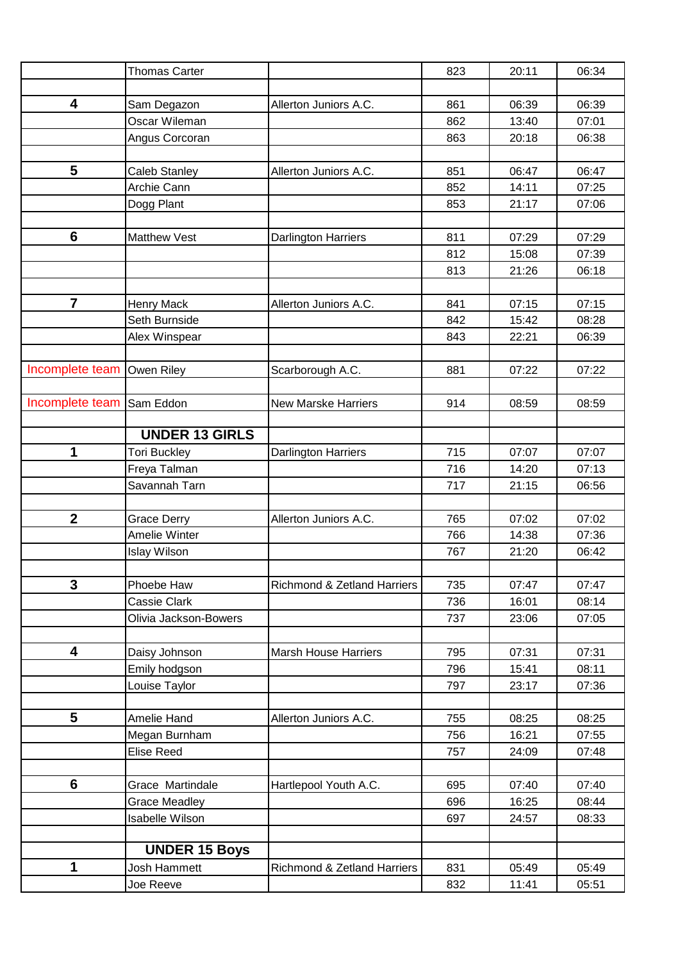|                 | <b>Thomas Carter</b>  |                             | 823 | 20:11 | 06:34 |
|-----------------|-----------------------|-----------------------------|-----|-------|-------|
|                 |                       |                             |     |       |       |
| 4               | Sam Degazon           | Allerton Juniors A.C.       | 861 | 06:39 | 06:39 |
|                 | Oscar Wileman         |                             | 862 | 13:40 | 07:01 |
|                 | Angus Corcoran        |                             | 863 | 20:18 | 06:38 |
|                 |                       |                             |     |       |       |
| 5               | Caleb Stanley         | Allerton Juniors A.C.       | 851 | 06:47 | 06:47 |
|                 | Archie Cann           |                             | 852 | 14:11 | 07:25 |
|                 | Dogg Plant            |                             | 853 | 21:17 | 07:06 |
|                 |                       |                             |     |       |       |
| $6\phantom{1}6$ | <b>Matthew Vest</b>   | <b>Darlington Harriers</b>  | 811 | 07:29 | 07:29 |
|                 |                       |                             | 812 | 15:08 | 07:39 |
|                 |                       |                             | 813 | 21:26 | 06:18 |
|                 |                       |                             |     |       |       |
| $\overline{7}$  | <b>Henry Mack</b>     | Allerton Juniors A.C.       | 841 | 07:15 | 07:15 |
|                 | Seth Burnside         |                             | 842 | 15:42 | 08:28 |
|                 | Alex Winspear         |                             | 843 | 22:21 | 06:39 |
|                 |                       |                             |     |       |       |
| Incomplete team | Owen Riley            | Scarborough A.C.            | 881 | 07:22 | 07:22 |
|                 |                       |                             |     |       |       |
| Incomplete team | Sam Eddon             | <b>New Marske Harriers</b>  | 914 | 08:59 | 08:59 |
|                 |                       |                             |     |       |       |
|                 | <b>UNDER 13 GIRLS</b> |                             |     |       |       |
| 1               | <b>Tori Buckley</b>   | Darlington Harriers         | 715 | 07:07 | 07:07 |
|                 | Freya Talman          |                             | 716 | 14:20 | 07:13 |
|                 | Savannah Tarn         |                             | 717 | 21:15 | 06:56 |
|                 |                       |                             |     |       |       |
| $\mathbf{2}$    | <b>Grace Derry</b>    | Allerton Juniors A.C.       | 765 | 07:02 | 07:02 |
|                 | Amelie Winter         |                             | 766 | 14:38 | 07:36 |
|                 | <b>Islay Wilson</b>   |                             | 767 | 21:20 | 06:42 |
|                 |                       |                             |     |       |       |
| 3               | Phoebe Haw            | Richmond & Zetland Harriers | 735 | 07:47 | 07:47 |
|                 | Cassie Clark          |                             | 736 | 16:01 | 08:14 |
|                 | Olivia Jackson-Bowers |                             | 737 | 23:06 | 07:05 |
|                 |                       |                             |     |       |       |
| 4               | Daisy Johnson         | Marsh House Harriers        | 795 | 07:31 | 07:31 |
|                 | Emily hodgson         |                             | 796 | 15:41 | 08:11 |
|                 | Louise Taylor         |                             | 797 | 23:17 | 07:36 |
|                 |                       |                             |     |       |       |
| 5               | Amelie Hand           | Allerton Juniors A.C.       | 755 | 08:25 | 08:25 |
|                 | Megan Burnham         |                             | 756 | 16:21 | 07:55 |
|                 | Elise Reed            |                             | 757 | 24:09 | 07:48 |
|                 |                       |                             |     |       |       |
| 6               | Grace Martindale      | Hartlepool Youth A.C.       | 695 | 07:40 | 07:40 |
|                 | <b>Grace Meadley</b>  |                             | 696 | 16:25 | 08:44 |
|                 | Isabelle Wilson       |                             | 697 | 24:57 | 08:33 |
|                 |                       |                             |     |       |       |
|                 | <b>UNDER 15 Boys</b>  |                             |     |       |       |
| 1               | Josh Hammett          | Richmond & Zetland Harriers | 831 | 05:49 | 05:49 |
|                 | Joe Reeve             |                             | 832 | 11:41 | 05:51 |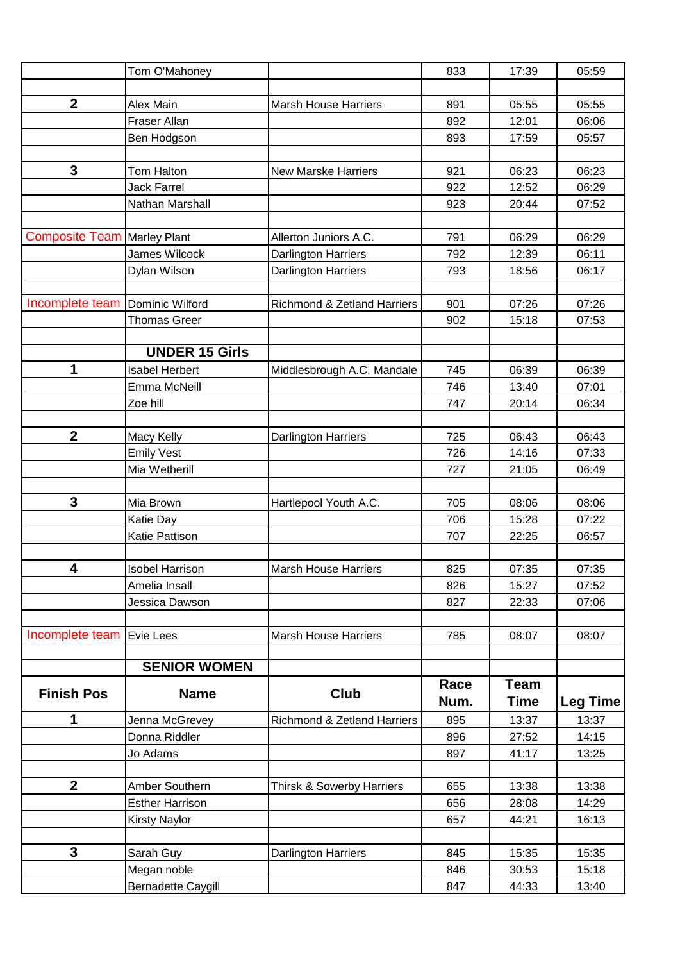|                         | Tom O'Mahoney          |                                        | 833  | 17:39       | 05:59           |
|-------------------------|------------------------|----------------------------------------|------|-------------|-----------------|
|                         |                        |                                        |      |             |                 |
| $\boldsymbol{2}$        | Alex Main              | <b>Marsh House Harriers</b>            | 891  | 05:55       | 05:55           |
|                         | <b>Fraser Allan</b>    |                                        | 892  | 12:01       | 06:06           |
|                         | Ben Hodgson            |                                        | 893  | 17:59       | 05:57           |
|                         |                        |                                        |      |             |                 |
| $\mathbf{3}$            | Tom Halton             | <b>New Marske Harriers</b>             | 921  | 06:23       | 06:23           |
|                         | <b>Jack Farrel</b>     |                                        | 922  | 12:52       | 06:29           |
|                         | Nathan Marshall        |                                        | 923  | 20:44       | 07:52           |
|                         |                        |                                        |      |             |                 |
| <b>Composite Team</b>   | Marley Plant           | Allerton Juniors A.C.                  | 791  | 06:29       | 06:29           |
|                         | James Wilcock          | Darlington Harriers                    | 792  | 12:39       | 06:11           |
|                         | Dylan Wilson           | <b>Darlington Harriers</b>             | 793  | 18:56       | 06:17           |
|                         |                        |                                        |      |             |                 |
| Incomplete team         | Dominic Wilford        | <b>Richmond &amp; Zetland Harriers</b> | 901  | 07:26       | 07:26           |
|                         | <b>Thomas Greer</b>    |                                        | 902  | 15:18       | 07:53           |
|                         |                        |                                        |      |             |                 |
|                         | <b>UNDER 15 Girls</b>  |                                        |      |             |                 |
| 1                       | <b>Isabel Herbert</b>  | Middlesbrough A.C. Mandale             | 745  | 06:39       | 06:39           |
|                         | Emma McNeill           |                                        | 746  | 13:40       | 07:01           |
|                         | Zoe hill               |                                        | 747  | 20:14       | 06:34           |
|                         |                        |                                        |      |             |                 |
| $\mathbf{2}$            | Macy Kelly             | <b>Darlington Harriers</b>             | 725  | 06:43       | 06:43           |
|                         | <b>Emily Vest</b>      |                                        | 726  | 14:16       | 07:33           |
|                         | Mia Wetherill          |                                        | 727  | 21:05       | 06:49           |
|                         |                        |                                        |      |             |                 |
| 3                       | Mia Brown              | Hartlepool Youth A.C.                  | 705  | 08:06       | 08:06           |
|                         | Katie Day              |                                        | 706  | 15:28       | 07:22           |
|                         | Katie Pattison         |                                        | 707  | 22:25       | 06:57           |
|                         |                        |                                        |      |             |                 |
| $\overline{\mathbf{4}}$ | <b>Isobel Harrison</b> | <b>Marsh House Harriers</b>            | 825  | 07:35       | 07:35           |
|                         | Amelia Insall          |                                        | 826  | 15:27       | 07:52           |
|                         | Jessica Dawson         |                                        | 827  | 22:33       | 07:06           |
|                         |                        |                                        |      |             |                 |
| Incomplete team         | Evie Lees              | <b>Marsh House Harriers</b>            | 785  | 08:07       | 08:07           |
|                         |                        |                                        |      |             |                 |
|                         | <b>SENIOR WOMEN</b>    |                                        |      |             |                 |
| <b>Finish Pos</b>       | <b>Name</b>            | Club                                   | Race | <b>Team</b> |                 |
|                         |                        |                                        | Num. | <b>Time</b> | <b>Leg Time</b> |
| 1                       | Jenna McGrevey         | Richmond & Zetland Harriers            | 895  | 13:37       | 13:37           |
|                         | Donna Riddler          |                                        | 896  | 27:52       | 14:15           |
|                         | Jo Adams               |                                        | 897  | 41:17       | 13:25           |
|                         |                        |                                        |      |             |                 |
| $\boldsymbol{2}$        | Amber Southern         | Thirsk & Sowerby Harriers              | 655  | 13:38       | 13:38           |
|                         | <b>Esther Harrison</b> |                                        | 656  | 28:08       | 14:29           |
|                         | <b>Kirsty Naylor</b>   |                                        | 657  | 44:21       | 16:13           |
|                         |                        |                                        |      |             |                 |
| 3                       | Sarah Guy              | <b>Darlington Harriers</b>             | 845  | 15:35       | 15:35           |
|                         | Megan noble            |                                        | 846  | 30:53       | 15:18           |
|                         | Bernadette Caygill     |                                        | 847  | 44:33       | 13:40           |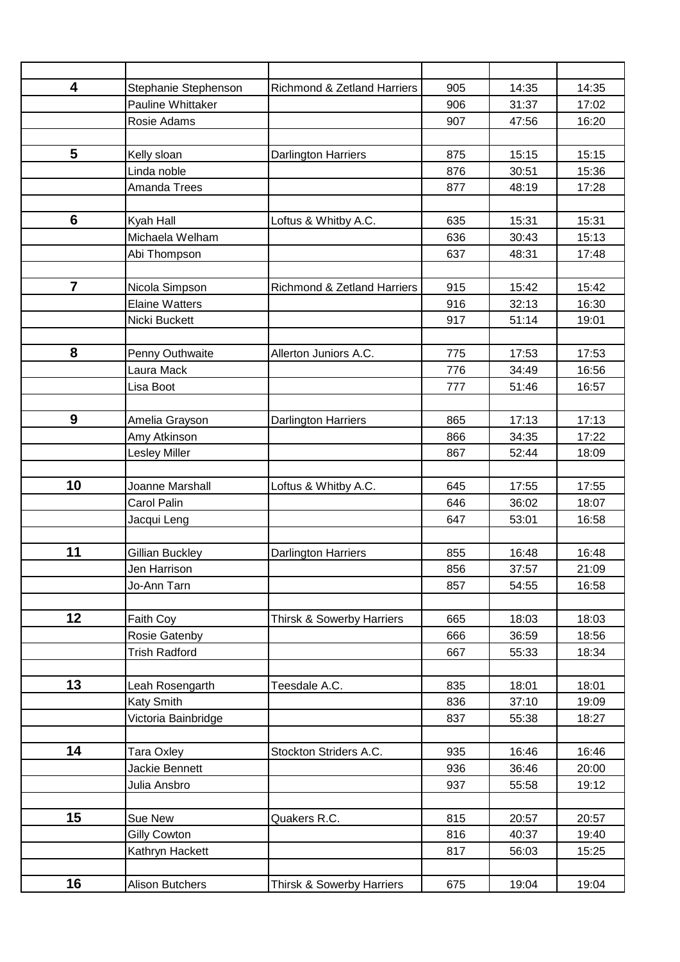| $\overline{\mathbf{4}}$ | Stephanie Stephenson       | Richmond & Zetland Harriers            | 905        | 14:35          | 14:35          |
|-------------------------|----------------------------|----------------------------------------|------------|----------------|----------------|
|                         | Pauline Whittaker          |                                        | 906        | 31:37          | 17:02          |
|                         | Rosie Adams                |                                        | 907        | 47:56          | 16:20          |
|                         |                            |                                        |            |                |                |
| 5                       | Kelly sloan                | <b>Darlington Harriers</b>             | 875        | 15:15          | 15:15          |
|                         | Linda noble                |                                        | 876        | 30:51          | 15:36          |
|                         | Amanda Trees               |                                        | 877        | 48:19          | 17:28          |
|                         |                            |                                        |            |                |                |
| $6\phantom{1}$          | Kyah Hall                  | Loftus & Whitby A.C.                   | 635        | 15:31          | 15:31          |
|                         | Michaela Welham            |                                        | 636        | 30:43          | 15:13          |
|                         | Abi Thompson               |                                        | 637        | 48:31          | 17:48          |
|                         |                            |                                        |            |                |                |
| $\overline{7}$          | Nicola Simpson             | <b>Richmond &amp; Zetland Harriers</b> | 915        | 15:42          | 15:42          |
|                         | <b>Elaine Watters</b>      |                                        | 916        | 32:13          | 16:30          |
|                         | Nicki Buckett              |                                        | 917        | 51:14          | 19:01          |
|                         |                            |                                        |            |                |                |
| 8                       | Penny Outhwaite            | Allerton Juniors A.C.                  | 775        | 17:53          | 17:53          |
|                         | Laura Mack                 |                                        | 776        | 34:49          | 16:56          |
|                         | Lisa Boot                  |                                        | 777        | 51:46          | 16:57          |
|                         |                            |                                        |            |                |                |
| 9                       | Amelia Grayson             | Darlington Harriers                    | 865        | 17:13          | 17:13          |
|                         | Amy Atkinson               |                                        | 866        | 34:35          | 17:22          |
|                         | <b>Lesley Miller</b>       |                                        | 867        | 52:44          | 18:09          |
|                         |                            |                                        |            |                |                |
| 10                      | Joanne Marshall            | Loftus & Whitby A.C.                   | 645        | 17:55          | 17:55          |
|                         | Carol Palin                |                                        | 646        | 36:02          | 18:07          |
|                         | Jacqui Leng                |                                        | 647        | 53:01          | 16:58          |
|                         |                            |                                        |            |                |                |
| 11                      | Gillian Buckley            | <b>Darlington Harriers</b>             | 855        | 16:48          | 16:48          |
|                         | Jen Harrison               |                                        | 856        | 37:57          | 21:09          |
|                         | Jo-Ann Tarn                |                                        | 857        | 54:55          | 16:58          |
| 12                      |                            |                                        |            |                |                |
|                         | Faith Coy<br>Rosie Gatenby | <b>Thirsk &amp; Sowerby Harriers</b>   | 665<br>666 | 18:03<br>36:59 | 18:03<br>18:56 |
|                         | <b>Trish Radford</b>       |                                        | 667        | 55:33          | 18:34          |
|                         |                            |                                        |            |                |                |
| 13                      | Leah Rosengarth            | Teesdale A.C.                          | 835        | 18:01          | 18:01          |
|                         | Katy Smith                 |                                        | 836        | 37:10          | 19:09          |
|                         | Victoria Bainbridge        |                                        | 837        | 55:38          | 18:27          |
|                         |                            |                                        |            |                |                |
| 14                      | Tara Oxley                 | Stockton Striders A.C.                 | 935        | 16:46          | 16:46          |
|                         | Jackie Bennett             |                                        | 936        | 36:46          | 20:00          |
|                         | Julia Ansbro               |                                        | 937        | 55:58          | 19:12          |
|                         |                            |                                        |            |                |                |
| 15                      | Sue New                    | Quakers R.C.                           | 815        | 20:57          | 20:57          |
|                         | <b>Gilly Cowton</b>        |                                        | 816        | 40:37          | 19:40          |
|                         | Kathryn Hackett            |                                        | 817        | 56:03          | 15:25          |
|                         |                            |                                        |            |                |                |
| 16                      | <b>Alison Butchers</b>     | <b>Thirsk &amp; Sowerby Harriers</b>   | 675        | 19:04          | 19:04          |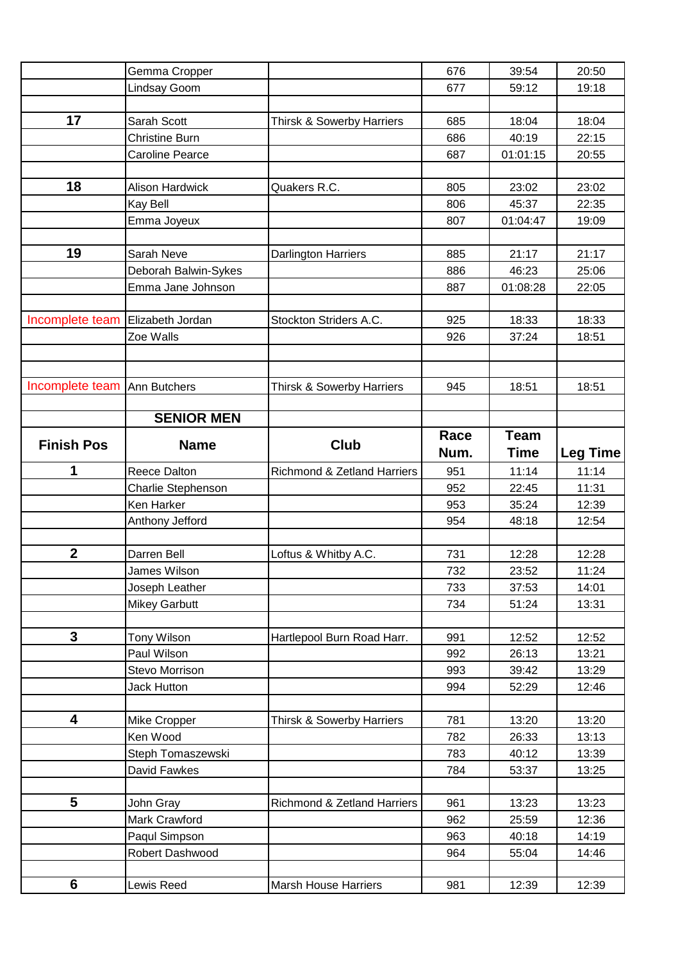|                   | Gemma Cropper                    |                                      | 676        | 39:54          | 20:50           |
|-------------------|----------------------------------|--------------------------------------|------------|----------------|-----------------|
|                   | Lindsay Goom                     |                                      | 677        | 59:12          | 19:18           |
|                   |                                  |                                      |            |                |                 |
| 17                | Sarah Scott                      | Thirsk & Sowerby Harriers            | 685        | 18:04          | 18:04           |
|                   | <b>Christine Burn</b>            |                                      | 686        | 40:19          | 22:15           |
|                   | <b>Caroline Pearce</b>           |                                      | 687        | 01:01:15       | 20:55           |
|                   |                                  |                                      |            |                |                 |
| 18                | <b>Alison Hardwick</b>           | Quakers R.C.                         | 805        | 23:02          | 23:02           |
|                   | Kay Bell                         |                                      | 806        | 45:37          | 22:35           |
|                   | Emma Joyeux                      |                                      | 807        | 01:04:47       | 19:09           |
|                   |                                  |                                      |            |                |                 |
| 19                | Sarah Neve                       | <b>Darlington Harriers</b>           | 885        | 21:17          | 21:17           |
|                   | Deborah Balwin-Sykes             |                                      | 886        | 46:23          | 25:06           |
|                   | Emma Jane Johnson                |                                      | 887        | 01:08:28       | 22:05           |
|                   |                                  |                                      |            |                |                 |
| Incomplete team   | Elizabeth Jordan                 | Stockton Striders A.C.               | 925        | 18:33          | 18:33           |
|                   | Zoe Walls                        |                                      | 926        | 37:24          | 18:51           |
|                   |                                  |                                      |            |                |                 |
|                   |                                  |                                      |            |                |                 |
| Incomplete team   | <b>Ann Butchers</b>              | <b>Thirsk &amp; Sowerby Harriers</b> | 945        | 18:51          | 18:51           |
|                   | <b>SENIOR MEN</b>                |                                      |            |                |                 |
|                   |                                  |                                      | Race       | <b>Team</b>    |                 |
| <b>Finish Pos</b> | <b>Name</b>                      | <b>Club</b>                          | Num.       | <b>Time</b>    |                 |
|                   |                                  |                                      |            |                | <b>Leg Time</b> |
| 1                 | Reece Dalton                     | Richmond & Zetland Harriers          | 951<br>952 | 11:14          | 11:14           |
|                   | Charlie Stephenson<br>Ken Harker |                                      | 953        | 22:45<br>35:24 | 11:31<br>12:39  |
|                   | Anthony Jefford                  |                                      | 954        | 48:18          | 12:54           |
|                   |                                  |                                      |            |                |                 |
| $\mathbf{2}$      | Darren Bell                      | Loftus & Whitby A.C.                 | 731        | 12:28          | 12:28           |
|                   | James Wilson                     |                                      | 732        | 23:52          | 11:24           |
|                   | Joseph Leather                   |                                      | 733        | 37:53          | 14:01           |
|                   | <b>Mikey Garbutt</b>             |                                      | 734        | 51:24          | 13:31           |
|                   |                                  |                                      |            |                |                 |
| $\mathbf{3}$      | Tony Wilson                      | Hartlepool Burn Road Harr.           | 991        | 12:52          | 12:52           |
|                   | Paul Wilson                      |                                      | 992        | 26:13          | 13:21           |
|                   | Stevo Morrison                   |                                      | 993        | 39:42          | 13:29           |
|                   | <b>Jack Hutton</b>               |                                      | 994        | 52:29          | 12:46           |
|                   |                                  |                                      |            |                |                 |
| 4                 | Mike Cropper                     | <b>Thirsk &amp; Sowerby Harriers</b> | 781        | 13:20          | 13:20           |
|                   | Ken Wood                         |                                      | 782        | 26:33          | 13:13           |
|                   | Steph Tomaszewski                |                                      | 783        | 40:12          | 13:39           |
|                   | David Fawkes                     |                                      | 784        | 53:37          | 13:25           |
|                   |                                  |                                      |            |                |                 |
|                   |                                  |                                      |            |                |                 |
| 5                 | John Gray                        | Richmond & Zetland Harriers          | 961        | 13:23          | 13:23           |
|                   | Mark Crawford                    |                                      | 962        | 25:59          | 12:36           |
|                   | Paqul Simpson                    |                                      | 963        | 40:18          | 14:19           |
|                   | Robert Dashwood                  |                                      | 964        | 55:04          | 14:46           |
| 6                 | Lewis Reed                       | <b>Marsh House Harriers</b>          | 981        | 12:39          | 12:39           |